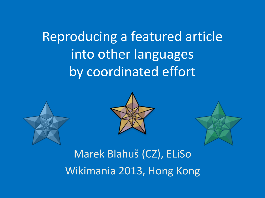Reproducing a featured article into other languages by coordinated effort







Marek Blahuš (CZ), ELiSo Wikimania 2013, Hong Kong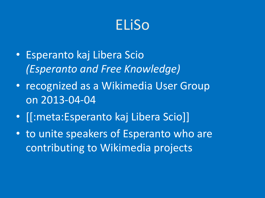## ELiSo

- Esperanto kaj Libera Scio *(Esperanto and Free Knowledge)*
- recognized as a Wikimedia User Group on 2013-04-04
- [[:meta:Esperanto kaj Libera Scio]]
- to unite speakers of Esperanto who are contributing to Wikimedia projects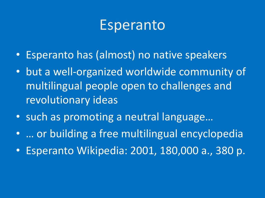### Esperanto

- Esperanto has (almost) no native speakers
- but a well-organized worldwide community of multilingual people open to challenges and revolutionary ideas
- such as promoting a neutral language…
- … or building a free multilingual encyclopedia
- Esperanto Wikipedia: 2001, 180,000 a., 380 p.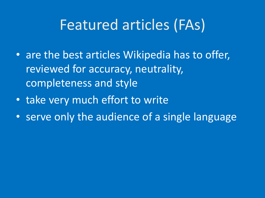## Featured articles (FAs)

- are the best articles Wikipedia has to offer, reviewed for accuracy, neutrality, completeness and style
- take very much effort to write
- serve only the audience of a single language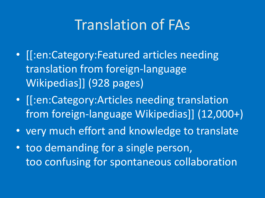## Translation of FAs

- [[:en:Category:Featured articles needing translation from foreign-language Wikipedias]] (928 pages)
- [[:en:Category:Articles needing translation from foreign-language Wikipedias]] (12,000+)
- very much effort and knowledge to translate
- too demanding for a single person, too confusing for spontaneous collaboration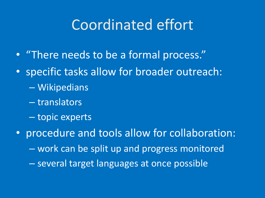## Coordinated effort

- "There needs to be a formal process."
- specific tasks allow for broader outreach:
	- Wikipedians
	- translators
	- topic experts
- procedure and tools allow for collaboration: – work can be split up and progress monitored – several target languages at once possible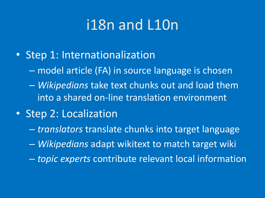## i18n and L10n

- Step 1: Internationalization
	- model article (FA) in source language is chosen
	- *Wikipedians* take text chunks out and load them into a shared on-line translation environment
- Step 2: Localization
	- *translators* translate chunks into target language
	- *Wikipedians* adapt wikitext to match target wiki
	- *topic experts* contribute relevant local information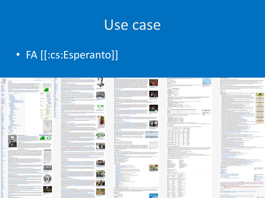#### Use case

#### • FA [[:cs:Esperanto]]

|              |                                                                                                                                                                                                                                                                                                                                                                                                                                                                                                               | Allen Loui today beautiful house today today                                                                                                                                                                                                                                                                                                                                                                                          |                    | Roberts expension - Support powerfully private contacts with 1 (climate                                                                                                                                                                                                                                                                                                                                                                                                                         |
|--------------|---------------------------------------------------------------------------------------------------------------------------------------------------------------------------------------------------------------------------------------------------------------------------------------------------------------------------------------------------------------------------------------------------------------------------------------------------------------------------------------------------------------|---------------------------------------------------------------------------------------------------------------------------------------------------------------------------------------------------------------------------------------------------------------------------------------------------------------------------------------------------------------------------------------------------------------------------------------|--------------------|-------------------------------------------------------------------------------------------------------------------------------------------------------------------------------------------------------------------------------------------------------------------------------------------------------------------------------------------------------------------------------------------------------------------------------------------------------------------------------------------------|
| 3            | THE REAL CONSULTS IN A 23 KG<br>a mac.                                                                                                                                                                                                                                                                                                                                                                                                                                                                        |                                                                                                                                                                                                                                                                                                                                                                                                                                       |                    | The constraints are are interested and<br>contribute to the context of the formula context of the context of<br>$\sigma$ in the context of the context of the context of<br>$\sigma$ in the context of the context of the context of<br>$\sigma$ in t                                                                                                                                                                                                                                           |
|              | Experanto                                                                                                                                                                                                                                                                                                                                                                                                                                                                                                     |                                                                                                                                                                                                                                                                                                                                                                                                                                       |                    |                                                                                                                                                                                                                                                                                                                                                                                                                                                                                                 |
| PEOFE        |                                                                                                                                                                                                                                                                                                                                                                                                                                                                                                               |                                                                                                                                                                                                                                                                                                                                                                                                                                       |                    |                                                                                                                                                                                                                                                                                                                                                                                                                                                                                                 |
|              | $\label{eq:R1} \begin{minipage}[t]{0.9\textwidth} \begin{minipage}[t]{0.9\textwidth} \begin{itemize} {\bf 1.9\textwidth} \begin{itemize} {\bf 1.9\textwidth} \begin{itemize} {\bf 1.9\textwidth} \begin{itemize} {\bf 1.9\textwidth} \begin{itemize} {\bf 1.9\textwidth} \begin{itemize} {\bf 1.9\textwidth} \begin{itemize} {\bf 1.9\textwidth} \begin{itemize} {\bf 1.9\textwidth} \begin{itemize} {\bf 1.9\textwidth} \begin{itemize} {\bf 1.9\textwidth} \begin{itemize} {\bf 1.9\textwidth} \begin{item$ | $\begin{array}{l} \textbf{4:1} \textbf{a} \textbf{a} \textbf{a} \textbf{a} \textbf{a} \textbf{a} \textbf{a} \textbf{a} \textbf{a} \\ \textbf{a} \textbf{a} \textbf{a} \textbf{a} \textbf{a} \textbf{a} \textbf{a} \textbf{a} \textbf{a} \textbf{a} \textbf{a} \textbf{a} \textbf{a} \textbf{a} \textbf{a} \textbf{a} \textbf{a} \textbf{a} \textbf{a} \textbf{a} \textbf{a} \textbf{a} \textbf{a} \textbf{a} \textbf{a}$<br>$-0.6144$ | <b>Hilling</b>     | <b>Richards a hypotenes in Aussign assessmental videostic business</b>                                                                                                                                                                                                                                                                                                                                                                                                                          |
| Ŀ,           |                                                                                                                                                                                                                                                                                                                                                                                                                                                                                                               | <b>HOLD CARD</b>                                                                                                                                                                                                                                                                                                                                                                                                                      | E                  |                                                                                                                                                                                                                                                                                                                                                                                                                                                                                                 |
|              |                                                                                                                                                                                                                                                                                                                                                                                                                                                                                                               |                                                                                                                                                                                                                                                                                                                                                                                                                                       |                    |                                                                                                                                                                                                                                                                                                                                                                                                                                                                                                 |
| b            | <b>Market Buy and Mark</b>                                                                                                                                                                                                                                                                                                                                                                                                                                                                                    |                                                                                                                                                                                                                                                                                                                                                                                                                                       |                    |                                                                                                                                                                                                                                                                                                                                                                                                                                                                                                 |
|              | .<br>1936 – John Harton politič podržava u poznatovali i djelati svim jeta njegov transformatari se dva spomio dr<br>1936 – De te staten seleca odkranikanske porazi se spomenovali dje te popular se od sveto spoljeno se spomio                                                                                                                                                                                                                                                                             |                                                                                                                                                                                                                                                                                                                                                                                                                                       |                    |                                                                                                                                                                                                                                                                                                                                                                                                                                                                                                 |
|              | station.                                                                                                                                                                                                                                                                                                                                                                                                                                                                                                      | <b>Luiz Luci, Smith</b>                                                                                                                                                                                                                                                                                                                                                                                                               |                    | Suite Morente Abdullation and Teams - Service reserves                                                                                                                                                                                                                                                                                                                                                                                                                                          |
| Ļ.           |                                                                                                                                                                                                                                                                                                                                                                                                                                                                                                               | <b>KILONIA</b><br><b>COM</b><br>2004.4 m                                                                                                                                                                                                                                                                                                                                                                                              |                    | ik abadeadelahan berkela di kombol separtai provinsi generalis periodi periodi di sel badi periodi periodi pe<br>Separta di secondor periodi periodi periodi (kol sebagai periodi di periodi sebelum periodi belancamani delimi                                                                                                                                                                                                                                                                 |
|              | <b>Standard</b><br>Filipping                                                                                                                                                                                                                                                                                                                                                                                                                                                                                  | man Installe                                                                                                                                                                                                                                                                                                                                                                                                                          |                    |                                                                                                                                                                                                                                                                                                                                                                                                                                                                                                 |
| ì            | ASANDER INTE                                                                                                                                                                                                                                                                                                                                                                                                                                                                                                  | promotivized                                                                                                                                                                                                                                                                                                                                                                                                                          | E                  |                                                                                                                                                                                                                                                                                                                                                                                                                                                                                                 |
|              |                                                                                                                                                                                                                                                                                                                                                                                                                                                                                                               | $\begin{array}{l} \begin{array}{c} \text{in other} \\ \text{in other} \end{array} \end{array}$                                                                                                                                                                                                                                                                                                                                        | M6                 |                                                                                                                                                                                                                                                                                                                                                                                                                                                                                                 |
| Ë            |                                                                                                                                                                                                                                                                                                                                                                                                                                                                                                               |                                                                                                                                                                                                                                                                                                                                                                                                                                       | <b>COLOR</b>       | There was a first that their back annual and API - We freeze doesn feel to be a stress well are paid to the st<br>Historic Column Fe doesn't Procedure and the state of the state of the state of the state of the Title of<br>Notic                                                                                                                                                                                                                                                            |
|              |                                                                                                                                                                                                                                                                                                                                                                                                                                                                                                               | 1268888                                                                                                                                                                                                                                                                                                                                                                                                                               |                    |                                                                                                                                                                                                                                                                                                                                                                                                                                                                                                 |
| ü            |                                                                                                                                                                                                                                                                                                                                                                                                                                                                                                               | 4 Third Ave.<br><b>Change</b>                                                                                                                                                                                                                                                                                                                                                                                                         |                    | Experienced accelerant supply                                                                                                                                                                                                                                                                                                                                                                                                                                                                   |
|              | $\begin{picture}(20,20) \put(0,0){\line(1,0){10}} \put(15,0){\line(1,0){10}} \put(15,0){\line(1,0){10}} \put(15,0){\line(1,0){10}} \put(15,0){\line(1,0){10}} \put(15,0){\line(1,0){10}} \put(15,0){\line(1,0){10}} \put(15,0){\line(1,0){10}} \put(15,0){\line(1,0){10}} \put(15,0){\line(1,0){10}} \put(15,0){\line(1,0){10}} \put(15,0){\line(1$                                                                                                                                                           | <b>Less</b>                                                                                                                                                                                                                                                                                                                                                                                                                           | m                  | NAMES PERSONS NOTES CONTRACTOR                                                                                                                                                                                                                                                                                                                                                                                                                                                                  |
|              |                                                                                                                                                                                                                                                                                                                                                                                                                                                                                                               |                                                                                                                                                                                                                                                                                                                                                                                                                                       |                    | $\begin{minipage}[t]{0.03\textwidth} \begin{minipage}[t]{0.03\textwidth} \begin{itemize} {\bf 1.03\textwidth} \begin{itemize} {\bf 1.03\textwidth} \begin{itemize} {\bf 1.03\textwidth} \begin{itemize} {\bf 1.03\textwidth} \begin{itemize} {\bf 1.03\textwidth} \begin{itemize} {\bf 1.03\textwidth} \begin{itemize} {\bf 1.03\textwidth} \begin{itemize} {\bf 1.03\textwidth} \begin{itemize} {\bf 1.03\textwidth} \begin{itemize} {\bf 1.03\textwidth} \begin{itemize} {\bf 1.03\textwidth$ |
|              |                                                                                                                                                                                                                                                                                                                                                                                                                                                                                                               |                                                                                                                                                                                                                                                                                                                                                                                                                                       |                    |                                                                                                                                                                                                                                                                                                                                                                                                                                                                                                 |
|              |                                                                                                                                                                                                                                                                                                                                                                                                                                                                                                               |                                                                                                                                                                                                                                                                                                                                                                                                                                       | 罡                  |                                                                                                                                                                                                                                                                                                                                                                                                                                                                                                 |
|              |                                                                                                                                                                                                                                                                                                                                                                                                                                                                                                               |                                                                                                                                                                                                                                                                                                                                                                                                                                       | $rac{1}{\sqrt{2}}$ | baseboles's                                                                                                                                                                                                                                                                                                                                                                                                                                                                                     |
|              |                                                                                                                                                                                                                                                                                                                                                                                                                                                                                                               | E                                                                                                                                                                                                                                                                                                                                                                                                                                     | u,                 | .<br>Ann agus a ché an Islam (a ché agus a la collasciatura parais) por mortajour antocente.<br>Ann a ché ann an t-air agus a ché agus a local a ché an local constanta ann a chéine an parais, fins e cl                                                                                                                                                                                                                                                                                       |
|              | <b>Hitakan</b>                                                                                                                                                                                                                                                                                                                                                                                                                                                                                                | <b>CALLA</b>                                                                                                                                                                                                                                                                                                                                                                                                                          |                    |                                                                                                                                                                                                                                                                                                                                                                                                                                                                                                 |
|              |                                                                                                                                                                                                                                                                                                                                                                                                                                                                                                               |                                                                                                                                                                                                                                                                                                                                                                                                                                       | Ë                  | <b>Betrovakayte issue</b>                                                                                                                                                                                                                                                                                                                                                                                                                                                                       |
|              | politicale<br>Liberale<br>Liberale<br>Liberale construction                                                                                                                                                                                                                                                                                                                                                                                                                                                   | $m = m + 1$                                                                                                                                                                                                                                                                                                                                                                                                                           |                    | In collection of the contract of the space angle of the two scale with $\Phi$ is the two scales and the collection of the contract of the collection of the contract of the collection of the contract of the collection of the                                                                                                                                                                                                                                                                 |
|              |                                                                                                                                                                                                                                                                                                                                                                                                                                                                                                               |                                                                                                                                                                                                                                                                                                                                                                                                                                       |                    |                                                                                                                                                                                                                                                                                                                                                                                                                                                                                                 |
|              | <b>LESSEN</b><br><b>ALBEAR</b>                                                                                                                                                                                                                                                                                                                                                                                                                                                                                | <b>TRAUMINALS</b>                                                                                                                                                                                                                                                                                                                                                                                                                     |                    | To 60 represent a starban tradition play adultional second. Being automate of promotive adapts, <sup>22</sup> (a dured) Of white-plastic<br>Analysis and gram aspect down states it, his with generation move, where it agains promotives                                                                                                                                                                                                                                                       |
|              |                                                                                                                                                                                                                                                                                                                                                                                                                                                                                                               | <b>Window</b>                                                                                                                                                                                                                                                                                                                                                                                                                         |                    |                                                                                                                                                                                                                                                                                                                                                                                                                                                                                                 |
|              | E                                                                                                                                                                                                                                                                                                                                                                                                                                                                                                             | 知宝万孔行用語                                                                                                                                                                                                                                                                                                                                                                                                                               |                    | <b>INVESTIGATION</b><br>Published referred returns Libert Gammak                                                                                                                                                                                                                                                                                                                                                                                                                                |
|              |                                                                                                                                                                                                                                                                                                                                                                                                                                                                                                               | <b>BRACK'S</b>                                                                                                                                                                                                                                                                                                                                                                                                                        |                    |                                                                                                                                                                                                                                                                                                                                                                                                                                                                                                 |
|              | <b>STEAM OF THE CONTRACTOR</b>                                                                                                                                                                                                                                                                                                                                                                                                                                                                                |                                                                                                                                                                                                                                                                                                                                                                                                                                       |                    | taten manada (ha. 1991). Erama darra bat era dalam bat alam bat alat alam antara karak ada al-bat al-bat al-b<br>alam batas da batan da darra bat al-bat da da bat al-bat al-bat a filmit mada al-bat al-bat bat al-bat al-bat<br>ba                                                                                                                                                                                                                                                            |
| ż            |                                                                                                                                                                                                                                                                                                                                                                                                                                                                                                               |                                                                                                                                                                                                                                                                                                                                                                                                                                       |                    |                                                                                                                                                                                                                                                                                                                                                                                                                                                                                                 |
| m            |                                                                                                                                                                                                                                                                                                                                                                                                                                                                                                               |                                                                                                                                                                                                                                                                                                                                                                                                                                       |                    |                                                                                                                                                                                                                                                                                                                                                                                                                                                                                                 |
|              | <b>There</b>                                                                                                                                                                                                                                                                                                                                                                                                                                                                                                  |                                                                                                                                                                                                                                                                                                                                                                                                                                       |                    | $\begin{minipage}[t]{. \begin{tabular}{l ccccccccccccccccccc } \hline \multicolumn{3}{ c }{\multicolumn{3}{c }{\multicolumn{3}{c }{\multicolumn{3}{c }{\multicolumn{3}{c }{\multicolumn{3}{c }{\multicolumn{3}{c }{\multicolumn{3}{c }{\multicolumn{3}{c }{\multicolumn{3}{c }{\multicolumn{3}{c }{\multicolumn{3}{c }{\multicolumn{3}{c }{\multicolumn{3}{c }{\multicolumn{3}{c }{\multicolumn{3}{c }{\multicolumn{3}{c }{\multicolumn{3}{c }{\multicolumn{3}{c }{\$                           |
|              |                                                                                                                                                                                                                                                                                                                                                                                                                                                                                                               |                                                                                                                                                                                                                                                                                                                                                                                                                                       |                    | <b><i><u><u>Seattered secondary Lubrary</u></u></i></b>                                                                                                                                                                                                                                                                                                                                                                                                                                         |
|              | Digity secure                                                                                                                                                                                                                                                                                                                                                                                                                                                                                                 |                                                                                                                                                                                                                                                                                                                                                                                                                                       |                    |                                                                                                                                                                                                                                                                                                                                                                                                                                                                                                 |
|              |                                                                                                                                                                                                                                                                                                                                                                                                                                                                                                               |                                                                                                                                                                                                                                                                                                                                                                                                                                       |                    |                                                                                                                                                                                                                                                                                                                                                                                                                                                                                                 |
|              | <b>Zenevielere dradni Latini</b>                                                                                                                                                                                                                                                                                                                                                                                                                                                                              |                                                                                                                                                                                                                                                                                                                                                                                                                                       |                    |                                                                                                                                                                                                                                                                                                                                                                                                                                                                                                 |
|              |                                                                                                                                                                                                                                                                                                                                                                                                                                                                                                               | ۰                                                                                                                                                                                                                                                                                                                                                                                                                                     |                    |                                                                                                                                                                                                                                                                                                                                                                                                                                                                                                 |
|              |                                                                                                                                                                                                                                                                                                                                                                                                                                                                                                               |                                                                                                                                                                                                                                                                                                                                                                                                                                       |                    |                                                                                                                                                                                                                                                                                                                                                                                                                                                                                                 |
|              |                                                                                                                                                                                                                                                                                                                                                                                                                                                                                                               |                                                                                                                                                                                                                                                                                                                                                                                                                                       |                    |                                                                                                                                                                                                                                                                                                                                                                                                                                                                                                 |
|              | Print policies, London                                                                                                                                                                                                                                                                                                                                                                                                                                                                                        |                                                                                                                                                                                                                                                                                                                                                                                                                                       |                    |                                                                                                                                                                                                                                                                                                                                                                                                                                                                                                 |
|              |                                                                                                                                                                                                                                                                                                                                                                                                                                                                                                               |                                                                                                                                                                                                                                                                                                                                                                                                                                       |                    |                                                                                                                                                                                                                                                                                                                                                                                                                                                                                                 |
|              |                                                                                                                                                                                                                                                                                                                                                                                                                                                                                                               |                                                                                                                                                                                                                                                                                                                                                                                                                                       |                    |                                                                                                                                                                                                                                                                                                                                                                                                                                                                                                 |
|              |                                                                                                                                                                                                                                                                                                                                                                                                                                                                                                               |                                                                                                                                                                                                                                                                                                                                                                                                                                       |                    |                                                                                                                                                                                                                                                                                                                                                                                                                                                                                                 |
| 19.14.00     | $\label{eq:R1} \begin{minipage}[t]{0.03\textwidth} \begin{minipage}[t]{0.03\textwidth} \begin{minipage}[t]{0.03\textwidth} \begin{minipage}[t]{0.03\textwidth} \begin{minipage}[t]{0.03\textwidth} \begin{minipage}[t]{0.03\textwidth} \begin{minipage}[t]{0.03\textwidth} \begin{minipage}[t]{0.03\textwidth} \begin{minipage}[t]{0.03\textwidth} \begin{minipage}[t]{0.03\textwidth} \begin{minipage}[t]{0.03\textwidth} \begin{minipage}[t]{0.03\textwidth} \begin{minipage}[t$                            |                                                                                                                                                                                                                                                                                                                                                                                                                                       |                    | E Service                                                                                                                                                                                                                                                                                                                                                                                                                                                                                       |
|              | <b>Tuesday advertising partners</b>                                                                                                                                                                                                                                                                                                                                                                                                                                                                           | La Esperantiste.                                                                                                                                                                                                                                                                                                                                                                                                                      |                    |                                                                                                                                                                                                                                                                                                                                                                                                                                                                                                 |
|              |                                                                                                                                                                                                                                                                                                                                                                                                                                                                                                               |                                                                                                                                                                                                                                                                                                                                                                                                                                       |                    |                                                                                                                                                                                                                                                                                                                                                                                                                                                                                                 |
|              |                                                                                                                                                                                                                                                                                                                                                                                                                                                                                                               |                                                                                                                                                                                                                                                                                                                                                                                                                                       |                    |                                                                                                                                                                                                                                                                                                                                                                                                                                                                                                 |
|              |                                                                                                                                                                                                                                                                                                                                                                                                                                                                                                               |                                                                                                                                                                                                                                                                                                                                                                                                                                       |                    |                                                                                                                                                                                                                                                                                                                                                                                                                                                                                                 |
| Ļ.           |                                                                                                                                                                                                                                                                                                                                                                                                                                                                                                               |                                                                                                                                                                                                                                                                                                                                                                                                                                       |                    |                                                                                                                                                                                                                                                                                                                                                                                                                                                                                                 |
|              | dancer<br>President parties some-                                                                                                                                                                                                                                                                                                                                                                                                                                                                             |                                                                                                                                                                                                                                                                                                                                                                                                                                       |                    | benede abakt op dat af 1 bened 191 gan i 1980 mann af de skildt større assert i den fødes av de i defende.<br>Det stader påkel studi i artikelt i delt senatsk i spesies bet staden i sales veden tyskelser av plat senere                                                                                                                                                                                                                                                                      |
| í.           |                                                                                                                                                                                                                                                                                                                                                                                                                                                                                                               |                                                                                                                                                                                                                                                                                                                                                                                                                                       |                    | <b>Right reported interi-</b>                                                                                                                                                                                                                                                                                                                                                                                                                                                                   |
| <b>Links</b> |                                                                                                                                                                                                                                                                                                                                                                                                                                                                                                               |                                                                                                                                                                                                                                                                                                                                                                                                                                       |                    | <b>SPACE ENGINEERS</b>                                                                                                                                                                                                                                                                                                                                                                                                                                                                          |
|              |                                                                                                                                                                                                                                                                                                                                                                                                                                                                                                               |                                                                                                                                                                                                                                                                                                                                                                                                                                       |                    | By Branch                                                                                                                                                                                                                                                                                                                                                                                                                                                                                       |
| è            | <b>ROOM DEPOSIT ROOMERS SUBJECT</b>                                                                                                                                                                                                                                                                                                                                                                                                                                                                           | me co de                                                                                                                                                                                                                                                                                                                                                                                                                              |                    |                                                                                                                                                                                                                                                                                                                                                                                                                                                                                                 |
|              |                                                                                                                                                                                                                                                                                                                                                                                                                                                                                                               |                                                                                                                                                                                                                                                                                                                                                                                                                                       |                    |                                                                                                                                                                                                                                                                                                                                                                                                                                                                                                 |
|              | the extended pay and the displayed payment equals and as determined to maximize a function of $\sim$ 0.000 meV and and the state of the state of the state of the state of the state of the state of the state of the state of                                                                                                                                                                                                                                                                                |                                                                                                                                                                                                                                                                                                                                                                                                                                       |                    |                                                                                                                                                                                                                                                                                                                                                                                                                                                                                                 |
| ü            | PROMISSION-LINES, promissioni poste element total contratto                                                                                                                                                                                                                                                                                                                                                                                                                                                   |                                                                                                                                                                                                                                                                                                                                                                                                                                       |                    |                                                                                                                                                                                                                                                                                                                                                                                                                                                                                                 |
|              |                                                                                                                                                                                                                                                                                                                                                                                                                                                                                                               |                                                                                                                                                                                                                                                                                                                                                                                                                                       |                    |                                                                                                                                                                                                                                                                                                                                                                                                                                                                                                 |
|              | There is not also an interested of the approximate in the first effect than the CD methods and the CD methods and the company of the company of the company of the company of the company of the company of the company of the                                                                                                                                                                                                                                                                                |                                                                                                                                                                                                                                                                                                                                                                                                                                       |                    | <b>SPRAIN EXTRACT SUBJECT</b>                                                                                                                                                                                                                                                                                                                                                                                                                                                                   |
| m            |                                                                                                                                                                                                                                                                                                                                                                                                                                                                                                               |                                                                                                                                                                                                                                                                                                                                                                                                                                       |                    |                                                                                                                                                                                                                                                                                                                                                                                                                                                                                                 |
| í.           | t das 233 pictures automatiques antiques antiques transformation approximatiques de la chief de construction d<br>Single se del date ser 1991, PMM, présent la scription de même alumentation ambas avec des présentations déman                                                                                                                                                                                                                                                                              |                                                                                                                                                                                                                                                                                                                                                                                                                                       |                    |                                                                                                                                                                                                                                                                                                                                                                                                                                                                                                 |
|              | Clubal selection value :                                                                                                                                                                                                                                                                                                                                                                                                                                                                                      |                                                                                                                                                                                                                                                                                                                                                                                                                                       |                    |                                                                                                                                                                                                                                                                                                                                                                                                                                                                                                 |
|              | talla paradita per el 1934 de contra la principal de del compositorio estatunidad el 1935 de la paradita.<br>La proposició de al proposició de la proposició estatunidad el proposició de la paradita del constanta de la<br>el prop                                                                                                                                                                                                                                                                          |                                                                                                                                                                                                                                                                                                                                                                                                                                       |                    | <b>Bases Jacked + Ukano</b>                                                                                                                                                                                                                                                                                                                                                                                                                                                                     |
|              |                                                                                                                                                                                                                                                                                                                                                                                                                                                                                                               |                                                                                                                                                                                                                                                                                                                                                                                                                                       |                    | TONIA HARASH SRAMA KIRK SELLER                                                                                                                                                                                                                                                                                                                                                                                                                                                                  |
| b            | To also anti-principal construction only in a family consent with spin and interacting trapic is not an [50]<br>(Tags) Communications and (5) (Tags) for a pit of an anti-particle filling model (succession) and model class<br>ph                                                                                                                                                                                                                                                                           |                                                                                                                                                                                                                                                                                                                                                                                                                                       |                    | Published returns related 1 EPA Lason parts                                                                                                                                                                                                                                                                                                                                                                                                                                                     |
| Ħ            |                                                                                                                                                                                                                                                                                                                                                                                                                                                                                                               |                                                                                                                                                                                                                                                                                                                                                                                                                                       |                    | di America di                                                                                                                                                                                                                                                                                                                                                                                                                                                                                   |
|              | $\label{eq:R1} \begin{minipage}[t]{0.03\textwidth} \begin{minipage}[t]{0.03\textwidth} \begin{minipage}[t]{0.03\textwidth} \begin{minipage}[t]{0.03\textwidth} \begin{minipage}[t]{0.03\textwidth} \begin{minipage}[t]{0.03\textwidth} \begin{minipage}[t]{0.03\textwidth} \begin{minipage}[t]{0.03\textwidth} \begin{minipage}[t]{0.03\textwidth} \begin{minipage}[t]{0.03\textwidth} \begin{minipage}[t]{0.03\textwidth} \begin{minipage}[t]{0.03\textwidth} \begin{minipage}[t$                            |                                                                                                                                                                                                                                                                                                                                                                                                                                       |                    |                                                                                                                                                                                                                                                                                                                                                                                                                                                                                                 |
| ш            |                                                                                                                                                                                                                                                                                                                                                                                                                                                                                                               |                                                                                                                                                                                                                                                                                                                                                                                                                                       |                    |                                                                                                                                                                                                                                                                                                                                                                                                                                                                                                 |
|              | Partially subject when instead                                                                                                                                                                                                                                                                                                                                                                                                                                                                                |                                                                                                                                                                                                                                                                                                                                                                                                                                       |                    |                                                                                                                                                                                                                                                                                                                                                                                                                                                                                                 |
| ÷.           |                                                                                                                                                                                                                                                                                                                                                                                                                                                                                                               |                                                                                                                                                                                                                                                                                                                                                                                                                                       |                    | Literature Locale                                                                                                                                                                                                                                                                                                                                                                                                                                                                               |
| u            | We consider the first condition of the state of the condition of the first of a special state of the condition of the condition of the condition of the condition of the condition of the condition of the condition of the c                                                                                                                                                                                                                                                                                 |                                                                                                                                                                                                                                                                                                                                                                                                                                       |                    | <b>GASAK INTER MAKES CRAFTING ROOMS</b>                                                                                                                                                                                                                                                                                                                                                                                                                                                         |
|              |                                                                                                                                                                                                                                                                                                                                                                                                                                                                                                               |                                                                                                                                                                                                                                                                                                                                                                                                                                       |                    | $\begin{minipage}[t]{0.9\textwidth} \begin{minipage}[t]{0.9\textwidth} \begin{itemize} {\color{blue} \textbf{1} & \textbf{1} & \textbf{1} & \textbf{1} & \textbf{1} & \textbf{1} & \textbf{1} & \textbf{1} & \textbf{1} & \textbf{1} & \textbf{1} & \textbf{1} & \textbf{1} & \textbf{1} & \textbf{1} & \textbf{1} & \textbf{1} & \textbf{1} & \textbf{1} & \textbf{1} & \textbf{1} & \textbf{1} & \textbf{1} & \textbf{1} & \textbf{1} & \text$                                                |
|              |                                                                                                                                                                                                                                                                                                                                                                                                                                                                                                               |                                                                                                                                                                                                                                                                                                                                                                                                                                       |                    |                                                                                                                                                                                                                                                                                                                                                                                                                                                                                                 |
|              | i appara scribile luo preside <u>pro dumme de</u> nomini. Il future commune di di sulta relativa consignati<br>Anno interiore della facta collectiva del giore specialmente al <sub>la</sub> communicati finanzi apparato del program<br>Anno inte<br>cons mails had grave                                                                                                                                                                                                                                    |                                                                                                                                                                                                                                                                                                                                                                                                                                       |                    |                                                                                                                                                                                                                                                                                                                                                                                                                                                                                                 |
|              | likadose konstanti filosofia kana je po muzikalni poten je boli planinski država napad kanal danas (po 1983).<br>Danas i banalska kanalizacija v 1999 - 1994 i poten slovenski dijelov sobite bil po savodno (pre 1994) i matem                                                                                                                                                                                                                                                                               |                                                                                                                                                                                                                                                                                                                                                                                                                                       |                    |                                                                                                                                                                                                                                                                                                                                                                                                                                                                                                 |
|              | <b>Indian automor</b>                                                                                                                                                                                                                                                                                                                                                                                                                                                                                         |                                                                                                                                                                                                                                                                                                                                                                                                                                       |                    | $\label{eq:R1} \begin{minipage}[t]{0.03\textwidth} \begin{minipage}[t]{0.03\textwidth} \begin{minipage}[t]{0.03\textwidth} \begin{minipage}[t]{0.03\textwidth} \begin{minipage}[t]{0.03\textwidth} \begin{minipage}[t]{0.03\textwidth} \begin{minipage}[t]{0.03\textwidth} \begin{minipage}[t]{0.03\textwidth} \begin{minipage}[t]{0.03\textwidth} \begin{minipage}[t]{0.03\textwidth} \begin{minipage}[t]{0.03\textwidth} \begin{minipage}[t]{0.03\textwidth} \begin{minipage}[t$              |
|              | Hillson separatory bedges assets hours                                                                                                                                                                                                                                                                                                                                                                                                                                                                        |                                                                                                                                                                                                                                                                                                                                                                                                                                       |                    |                                                                                                                                                                                                                                                                                                                                                                                                                                                                                                 |
|              |                                                                                                                                                                                                                                                                                                                                                                                                                                                                                                               |                                                                                                                                                                                                                                                                                                                                                                                                                                       |                    |                                                                                                                                                                                                                                                                                                                                                                                                                                                                                                 |

| .<br>Standard Middless regional managers if also all accounts better program districts, in the paint interest produ<br>And he separate products and the standard in the standard company of the second company in the second<br>Paint plan book<br>$\frac{1}{2}$<br>The point of the function of the point of the selection of the couple and the selection of the couple and the<br>region determined supplied places and of their termine in the couple of the determined<br><b>Agent store</b>                                                                                                                                                                                                                                                                                                                                                                                                                                                                                                                                                                        |                        |
|--------------------------------------------------------------------------------------------------------------------------------------------------------------------------------------------------------------------------------------------------------------------------------------------------------------------------------------------------------------------------------------------------------------------------------------------------------------------------------------------------------------------------------------------------------------------------------------------------------------------------------------------------------------------------------------------------------------------------------------------------------------------------------------------------------------------------------------------------------------------------------------------------------------------------------------------------------------------------------------------------------------------------------------------------------------------------|------------------------|
|                                                                                                                                                                                                                                                                                                                                                                                                                                                                                                                                                                                                                                                                                                                                                                                                                                                                                                                                                                                                                                                                          |                        |
| $\begin{tabular}{ c c c c } \hline &\multicolumn{1}{ c }{\textbf{O}} &\multicolumn{1}{ c }{\textbf{O}} &\multicolumn{1}{ c }{\textbf{O}} &\multicolumn{1}{ c }{\textbf{O}} &\multicolumn{1}{ c }{\textbf{O}} &\multicolumn{1}{ c }{\textbf{O}} &\multicolumn{1}{ c }{\textbf{O}} &\multicolumn{1}{ c }{\textbf{O}} &\multicolumn{1}{ c }{\textbf{O}} &\multicolumn{1}{ c }{\textbf{O}} &\multicolumn{1}{ c }{\textbf{O}} &\mult$<br>- Debe signal are in the $\lambda$ w.V. (1984) - or at our or at $\mu$ at an or at the signal system in the contract of the signal system in the contract of the system of the system of the system of the system of the system of                                                                                                                                                                                                                                                                                                                                                                                                   |                        |
| Calveto Lotust<br>ingers to patienterminist<br>manager pair papaninist (1998)<br>Mic Maria (namaaler), hip is<br>tert pair pairing symmatical<br>. Clicky school not be unkup develop proof Cythere: (con- Sylta Jime - cy Into)                                                                                                                                                                                                                                                                                                                                                                                                                                                                                                                                                                                                                                                                                                                                                                                                                                         |                        |
| <b>Bears come</b><br>es foliologicanologicanologica<br>1986: Matematiki, vicentalista<br>1987: Giovanni (Carlo del Carlo del Carlo del Carlo del Carlo del Carlo<br>1988: Matematiki (Carlo del Carlo del Carlo del Carlo del Carlo<br>STATE:<br>$\frac{1}{12.01} \times \frac{1}{12.014} \times \frac{1}{12.014} \times \frac{1}{12.014} \times \frac{1}{12.014} \times \frac{1}{12.014} \times \frac{1}{12.014} \times \frac{1}{12.014} \times \frac{1}{12.014} \times \frac{1}{12.014} \times \frac{1}{12.014} \times \frac{1}{12.014} \times \frac{1}{12.014} \times \frac{1}{12.014} \times \frac{1}{12.014} \times \frac{1}{12.014$<br><b>JANUARY AND CORPORATION</b>                                                                                                                                                                                                                                                                                                                                                                                              | <b>PAIL MATER</b><br>譚 |
| Located but prove.<br>anti sugarantaksi ole vartasi sebali "Sali garthesis sujata dan sukara pasar."<br>maksasara gabu sambia di sama dan mentengasara melukuran susata ang men<br>provide summaksi sujatah dapat anggoranta Tersendah meselip median<br>$\sim$ 0000 at primary fluctuated dynamics (see<br>A $\sim$ 0000 $^\circ$ 00000 and 0000 clusters in<br>the primary set from the control of the control of the control of<br>the control of the control of the control of the control of the c<br>The state by a reduction platform layer in a space plant was a slide over under texts when the<br>Theorems pulso as state provident between annually state of the party plant agents are all the<br>player and polymer first                                                                                                                                                                                                                                                                                                                                  |                        |
| <b>Because and Services</b><br>The committee demand business changes to demand these clients that<br>to a plat date in colorado relativido interaliente<br><b>SERVICE STATE</b>                                                                                                                                                                                                                                                                                                                                                                                                                                                                                                                                                                                                                                                                                                                                                                                                                                                                                          |                        |
| $\begin{tabular}{ c c c c } \hline \multicolumn{1}{ c }{\multicolumn{1}{ c }{\multicolumn{1}{ c }{\multicolumn{1}{ c }{\multicolumn{1}{ c }{\multicolumn{1}{ c }{\multicolumn{1}{ c }{\multicolumn{1}{ c }{\multicolumn{1}{ c }{\multicolumn{1}{ c }{\multicolumn{1}{ c }{\multicolumn{1}{ c }{\multicolumn{1}{ c }{\multicolumn{1}{ c }{\multicolumn{1}{ c }{\multicolumn{1}{ c }{\multicolumn{1}{ c }{\multicolumn{1}{ c }{\multic$<br><b>CENTRE</b><br>$\frac{1}{\sqrt{2}}\left( \frac{1}{\sqrt{2}}\right) ^{2}=\frac{1}{\sqrt{2}}\left( \frac{1}{\sqrt{2}}\right) ^{2}=\frac{1}{\sqrt{2}}\left( \frac{1}{\sqrt{2}}\right) ^{2}=\frac{1}{\sqrt{2}}\left( \frac{1}{\sqrt{2}}\right) ^{2}=\frac{1}{\sqrt{2}}\left( \frac{1}{\sqrt{2}}\right) ^{2}=\frac{1}{\sqrt{2}}\left( \frac{1}{\sqrt{2}}\right) ^{2}=\frac{1}{\sqrt{2}}\left( \frac{1}{\sqrt{2}}\right) ^{2}=\frac{1}{\sqrt{2}}$                                                                                                                                                                                   |                        |
| $\frac{1}{2}$<br>m.<br>×<br>in.<br>2222333<br>$\frac{\partial \mathcal{L}}{\partial \mathbf{r}^2}$<br><b>Inch</b><br>Models.<br>Set drive<br><b>SEARCH</b><br>$\label{eq:1} \begin{array}{lll} \hbox{number of $M_{\rm{max}}$} & \hbox{for $M_{\rm{max}}$} \\\hbox{where $M_{\rm{max}}$} & \hbox{where $M_{\rm{max}}$} \end{array}$<br>×<br>m.<br>ă<br><b>SALE</b><br><b>SALE</b><br>$\begin{array}{l} \hbox{S} \text{ and } \beta = \alpha \text{ if } \alpha = \beta \text{ if } \alpha = \alpha \text{ if } \alpha = \beta \text{ if } \alpha = \beta \text{ if } \alpha = \beta \text{ if } \alpha = \beta \text{ if } \alpha = \beta \text{ if } \alpha = \beta \text{ if } \alpha = \beta \text{ if } \alpha = \beta \text{ if } \alpha = \beta \text{ if } \alpha = \beta \text{ if } \alpha = \beta \text{ if } \alpha = \beta \text{ if } \alpha = \beta \text{ if } \alpha = \beta \text{ if } \alpha = \beta \text{ if } \alpha = \beta \text{ if } \alpha = \beta \text{ if } \alpha$<br>Christma district phone is a grownwidth and writer the bank of<br>ä |                        |
| $\label{eq:2} \begin{minipage}[t]{0.9\textwidth} \begin{minipage}[t]{0.9\textwidth} \begin{itemize} {\bf 1.0\textwidth} \begin{itemize} {\bf 1.0\textwidth} \begin{itemize} {\bf 1.0\textwidth} \begin{itemize} {\bf 1.0\textwidth} \begin{itemize} {\bf 1.0\textwidth} \begin{itemize} {\bf 1.0\textwidth} \begin{itemize} {\bf 1.0\textwidth} \begin{itemize} {\bf 1.0\textwidth} \begin{itemize} {\bf 1.0\textwidth} \begin{itemize} {\bf 1.0\textwidth} \begin{itemize} {\bf 1.0\textwidth} \begin{itemize$<br>.<br>And a lot in come considerable case of the democratic comes<br>- Since calculate the record continguism of the space<br>sky mits blake riter findes been stat treet for the 14<br>browled experienced band to test asset                                                                                                                                                                                                                                                                                                                         |                        |
| · Separate Plant and<br>ź.<br><b>STRON FROM LANK</b>                                                                                                                                                                                                                                                                                                                                                                                                                                                                                                                                                                                                                                                                                                                                                                                                                                                                                                                                                                                                                     |                        |
|                                                                                                                                                                                                                                                                                                                                                                                                                                                                                                                                                                                                                                                                                                                                                                                                                                                                                                                                                                                                                                                                          |                        |
| <b>TRAIN ANOTHER CONSULTANCE</b>                                                                                                                                                                                                                                                                                                                                                                                                                                                                                                                                                                                                                                                                                                                                                                                                                                                                                                                                                                                                                                         |                        |
| $t$ terms.                                                                                                                                                                                                                                                                                                                                                                                                                                                                                                                                                                                                                                                                                                                                                                                                                                                                                                                                                                                                                                                               |                        |
| $\begin{array}{l} \mbox{for $t \in \mathbb{N}$} \\ \mbox{for $t \in \mathbb{N}$} \\ \mbox{for $t \in \mathbb{N}$} \end{array}$                                                                                                                                                                                                                                                                                                                                                                                                                                                                                                                                                                                                                                                                                                                                                                                                                                                                                                                                           |                        |
| $\begin{tabular}{l c c c c} \hline one & $t$ & $t$ & $t$ & $t$ \\ \hline $t$ & $t$ & $t$ & $t$ & $t$ \\ \hline $t$ & $t$ & $t$ & $t$ & $t$ \\ $t$ & $t$ & $t$ & $t$ & $t$ \\ $t$ & $t$ & $t$ & $t$ & $t$ & $t$ \\ $t$ & $t$ & $t$ & $t$ & $t$ & $t$ \\ $t$ & $t$ & $t$ & $t$ & $t$ & $t$ \\ $t$ & $t$ & $t$ & $t$ & $t$ & $t$ \\ \hline $t$ & $t$ & $t$ & $t$ & $t$<br>$2n+4$                                                                                                                                                                                                                                                                                                                                                                                                                                                                                                                                                                                                                                                                                            |                        |
| Gregoriansk mini                                                                                                                                                                                                                                                                                                                                                                                                                                                                                                                                                                                                                                                                                                                                                                                                                                                                                                                                                                                                                                                         |                        |
| $\begin{tabular}{ c c c c } \hline \multicolumn{3}{ c }{\multicolumn{3}{ c }{\multicolumn{3}{ c }{\multicolumn{3}{ c }{\multicolumn{3}{ c }{\multicolumn{3}{ c }{\multicolumn{3}{ c }{\multicolumn{3}{ c }{\multicolumn{3}{ c }{\multicolumn{3}{ c }{\multicolumn{3}{ c }{\multicolumn{3}{ c }{\multicolumn{3}{ c }{\multicolumn{3}{ c }{\multicolumn{3}{ c }{\multicolumn{3}{ c }{\multicolumn{3}{ c }{\multicolumn{3}{ c }{\multic$<br>$\begin{bmatrix} 0 & 0 & 0 \\ 0 & 0 & 0 \\ 0 & 0 & 0 \end{bmatrix}$<br>$8 - 14 - 14 = 1$                                                                                                                                                                                                                                                                                                                                                                                                                                                                                                                                        |                        |
| E <sup>1</sup>                                                                                                                                                                                                                                                                                                                                                                                                                                                                                                                                                                                                                                                                                                                                                                                                                                                                                                                                                                                                                                                           |                        |
| $\begin{tabular}{l c c} $m$-mod & $1$-mod \\ $m$-mod & $1$-mod \\ $m$-mod & $1$-mod \\ $m$-mod & $1$-mod \\ $m$-mod & $1$-mod \\ $m$-mod & $1$-mod \\ $m$-mod & $1$-mod \\ $m$-mod & $m$-mod \\ $m$-mod & $m$-mod \\ $m$-mod & $m$-mod \\ $m$-mod & $m$-mod \\ $m$-mod & $m$-mod \\ $m$-mod & $m$-mod \\ $m$-mod & $m$-mod & $m$-mod \\ $m$-mod & $m$-mod & $m$-mod \\ $m$-mod & $m$-mod & $m$-$<br><b>With Lat No.</b>                                                                                                                                                                                                                                                                                                                                                                                                                                                                                                                                                                                                                                                  |                        |
| $\begin{array}{l} 1.014 & 0 \\ 0.014 & 0 \\ 0.004 & 0.0044 \end{array}$<br>The burge<br>Pressure<br>Roman<br>President Life Last Arange                                                                                                                                                                                                                                                                                                                                                                                                                                                                                                                                                                                                                                                                                                                                                                                                                                                                                                                                  |                        |
| .<br>1986 - Andrej Karl Harrison, američki politički politički politički politički politički politički politički p<br>1986 - Andrej Andrej Andrej Andrej Andrej Andrej Andrej Andrej Andrej Andrej Andrej Andrej Andrej Andrej Andr<br>$\frac{1}{2} \frac{1}{2} \frac{1}{2} \frac{1}{2} \frac{1}{2} \frac{1}{2} \frac{1}{2} \frac{1}{2} \frac{1}{2} \frac{1}{2} \frac{1}{2} \frac{1}{2} \frac{1}{2} \frac{1}{2} \frac{1}{2} \frac{1}{2} \frac{1}{2} \frac{1}{2} \frac{1}{2} \frac{1}{2} \frac{1}{2} \frac{1}{2} \frac{1}{2} \frac{1}{2} \frac{1}{2} \frac{1}{2} \frac{1}{2} \frac{1}{2} \frac{1}{2} \frac{1}{2} \frac{1}{2} \frac{$<br>Owlet                                                                                                                                                                                                                                                                                                                                                                                                                             |                        |
| (1984) (order) op dez<br>(1993) (or dez)<br>(Kleiming)<br><b>Suite brief</b>                                                                                                                                                                                                                                                                                                                                                                                                                                                                                                                                                                                                                                                                                                                                                                                                                                                                                                                                                                                             |                        |
| $\begin{tabular}{l c c c} \hline $k\,k$ & & $k\,p\,m$ \\ \hline \hline $\mu$ or $k\,p$ and & $k\,p$ - image \\ \hline \hline $000~\#00$ & & $k\,p\,m$ - image \\ \hline \end{tabular}$<br><b>Distances how!</b><br><b>Died des</b><br><b>Services</b><br>Verenium                                                                                                                                                                                                                                                                                                                                                                                                                                                                                                                                                                                                                                                                                                                                                                                                        |                        |
| Dotido (komunika<br>sis Expiracio<br><b>Given</b><br>Are are<br><b>Personal Links</b><br>$\overline{\alpha}$                                                                                                                                                                                                                                                                                                                                                                                                                                                                                                                                                                                                                                                                                                                                                                                                                                                                                                                                                             |                        |

댧

| and the structure of the control and the property of the control of the control of the control of the control o<br>And the control of the control of the control of the control of the control of the control of the control of t                                                                                                                                                                                                                                                                                                                                                                                                                                                                                                                                                                                                                                                                                                                                                                                                                                                                                                                                                                                                                                                                                                                                                                                                                                                                                                                                                                                                                                                                                                                                                                                                                                 |         |
|-------------------------------------------------------------------------------------------------------------------------------------------------------------------------------------------------------------------------------------------------------------------------------------------------------------------------------------------------------------------------------------------------------------------------------------------------------------------------------------------------------------------------------------------------------------------------------------------------------------------------------------------------------------------------------------------------------------------------------------------------------------------------------------------------------------------------------------------------------------------------------------------------------------------------------------------------------------------------------------------------------------------------------------------------------------------------------------------------------------------------------------------------------------------------------------------------------------------------------------------------------------------------------------------------------------------------------------------------------------------------------------------------------------------------------------------------------------------------------------------------------------------------------------------------------------------------------------------------------------------------------------------------------------------------------------------------------------------------------------------------------------------------------------------------------------------------------------------------------------------|---------|
| airt an pabla<br>1.5000                                                                                                                                                                                                                                                                                                                                                                                                                                                                                                                                                                                                                                                                                                                                                                                                                                                                                                                                                                                                                                                                                                                                                                                                                                                                                                                                                                                                                                                                                                                                                                                                                                                                                                                                                                                                                                           |         |
| anderdal použit sova angerseti: intera                                                                                                                                                                                                                                                                                                                                                                                                                                                                                                                                                                                                                                                                                                                                                                                                                                                                                                                                                                                                                                                                                                                                                                                                                                                                                                                                                                                                                                                                                                                                                                                                                                                                                                                                                                                                                            |         |
| .<br>Antique a man acquest de la poèta :<br>Antique a sign de computer allegations<br>a pictores                                                                                                                                                                                                                                                                                                                                                                                                                                                                                                                                                                                                                                                                                                                                                                                                                                                                                                                                                                                                                                                                                                                                                                                                                                                                                                                                                                                                                                                                                                                                                                                                                                                                                                                                                                  |         |
| Many same                                                                                                                                                                                                                                                                                                                                                                                                                                                                                                                                                                                                                                                                                                                                                                                                                                                                                                                                                                                                                                                                                                                                                                                                                                                                                                                                                                                                                                                                                                                                                                                                                                                                                                                                                                                                                                                         |         |
| mine spisat<br>Sin cali circles<br>McAmmaniches<br><b>International Auto &amp;</b><br>cint ius<br>bij de<br>i<br>Franklin<br>Charles Andrian<br>Charles Andrian<br>Charles Andrian<br><b>TIME</b><br>al sinh<br><b><i>COON WITH PAPER LINE</i></b><br>COMP & Read Moneta Line<br>Line State Book Moneta Line<br>Cook Monetary<br>Line State Group Contract Line<br>abarriera de tri<br>$\begin{split} \mathcal{L}_{\text{M}}(\mathbf{r}) & = \mathcal{L}_{\text{M}}(\mathbf{r}) = \mathcal{L}_{\text{M}}(\mathbf{r}) = \mathcal{L}_{\text{M}}(\mathbf{r}) = \mathcal{L}_{\text{M}}(\mathbf{r}) = \mathcal{L}_{\text{M}}(\mathbf{r}) = \mathcal{L}_{\text{M}}(\mathbf{r}) = \mathcal{L}_{\text{M}}(\mathbf{r}) = \mathcal{L}_{\text{M}}(\mathbf{r}) = \mathcal{L}_{\text{M}}(\mathbf{r}) = \mathcal{L}_{\text{M}}(\mathbf{r}) = \mathcal{L}_{\text{M}}(\mathbf{r$<br>stan film and<br>The Common<br>The Standard France<br>n belawang<br>Mak Stadi Managara<br>Makamatan Panganan<br>Makamatan Panganan<br>anc<br>Histogra<br><b>Thursday of Frank Projects</b><br>National Detectionship (1913)<br>$\begin{split} &\frac{\partial \mathcal{L}_{\mathcal{M}_{\mathcal{M}_{\mathcal{M}_{\mathcal{M}_{\mathcal{M}_{\mathcal{M}_{\mathcal{M}_{\mathcal{M}_{\mathcal{M}_{\mathcal{M}_{\mathcal{M}_{\mathcal{M}_{\mathcal{M}_{\mathcal{M}_{\mathcal{M}_{\mathcal{M}_{\mathcal{M}_{\mathcal{M}_{\mathcal{M}_{\mathcal{M}_{\mathcal{M}_{\mathcal{M}_{\mathcal{M}_{\mathcal{M}_{\mathcal{M}_{\mathcal{M}_{\mathcal{M}_{\mathcal{M}_{\mathcal{M}_{\mathcal{M}_{\mathcal{M}}}}}}}}}}}}}\mathcal{M}_{1}}},\qquad &$<br>tan katalog ayaw<br>1974 - Alemania ayawa<br>1975 - Alemania ayawa<br>1975 - Alemania ayawa<br>1975 - Alemania ayawa<br>i in<br>I LANUARE DROBBE<br><b>LONARY</b><br><b>Section</b><br><b>Brita Latin Graduate Avenue</b><br>Politich (Latin Graduate) | ò-<br>ö |
|                                                                                                                                                                                                                                                                                                                                                                                                                                                                                                                                                                                                                                                                                                                                                                                                                                                                                                                                                                                                                                                                                                                                                                                                                                                                                                                                                                                                                                                                                                                                                                                                                                                                                                                                                                                                                                                                   |         |
| <b>Branded, Sourcest</b>                                                                                                                                                                                                                                                                                                                                                                                                                                                                                                                                                                                                                                                                                                                                                                                                                                                                                                                                                                                                                                                                                                                                                                                                                                                                                                                                                                                                                                                                                                                                                                                                                                                                                                                                                                                                                                          |         |
|                                                                                                                                                                                                                                                                                                                                                                                                                                                                                                                                                                                                                                                                                                                                                                                                                                                                                                                                                                                                                                                                                                                                                                                                                                                                                                                                                                                                                                                                                                                                                                                                                                                                                                                                                                                                                                                                   |         |
|                                                                                                                                                                                                                                                                                                                                                                                                                                                                                                                                                                                                                                                                                                                                                                                                                                                                                                                                                                                                                                                                                                                                                                                                                                                                                                                                                                                                                                                                                                                                                                                                                                                                                                                                                                                                                                                                   |         |
|                                                                                                                                                                                                                                                                                                                                                                                                                                                                                                                                                                                                                                                                                                                                                                                                                                                                                                                                                                                                                                                                                                                                                                                                                                                                                                                                                                                                                                                                                                                                                                                                                                                                                                                                                                                                                                                                   |         |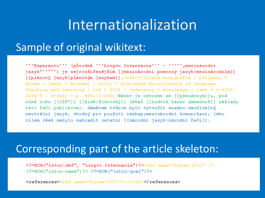#### Internationalization

#### Sample of original wikitext:

""Esperanto"" (původně ""Lingvo Internacia"" - """, mezinárodní jazyk<sup>w</sup>''''') je nejrozšířenějším [[mezinárodní pomocný jazyk|mezinárodním]] [[plánový jazyk|plánovým jazykem]].<ref>{{Citace monografie | příjmení = Byram | iméno = Michael | titul = Routledge Encyclopedia of Language Teaching and Learning |  $rok = 2001$  | vydavatel = Routledge | isbn = 0-4153-3286-9 | strany = p. 464}}</ref> Název je odvozen ze [[pseudonym]]u, pod nímž roku [[1887]] [[židé|židovský]] lékař [[Ludvík Lazar Zamenhof]] základy této řeči publikoval. Záměrem tvůrce bylo vytvořit snadno naučitelný neutrální jazyk, vhodný pro použití v mezinárodní komunikaci; jeho cílem však nebylo nahradit ostatní [[národní jazyk|národní řeči]].

#### Corresponding part of the article skeleton:

<?=ECH("intro-def", "Lingvo Internacia")?><ref name="byram-2001" /> <?=ECH("intro-name")?> <?=ECH("intro-qoal")?>

<references><ref name="byram-2001">...</ref></references>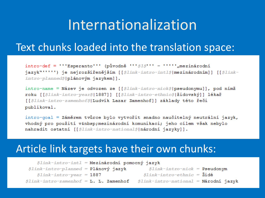## Internationalization

#### Text chunks loaded into the translation space:

intro-def = '''Esperanto''' (původně ''' $S1S$ ''' - ''''',mezinárodní jazyk<sup>w (1111</sup>) je nejrozšířenějším [[\$link-intro-intl\$|mezinárodním]] [[\$link $intro$ -planned $\beta$ |plánovým jazykem]].

intro-name = Název je odvozen ze [[ $$link-intro-nick$$ |pseudonymu]], pod nímž roku [[Slink-intro-year\$|1887]] [[Slink-intro-ethnic\$|židovský]] lékař [[Slink-intro-zamenhofS|Ludvík Lazar Zamenhof]] základy této řeči publikoval.

intro-goal = Záměrem tvůrce bylo vytvořit snadno naučitelný neutrální jazyk, vhodný pro použití v mezinárodní komunikaci; jeho cílem však nebylo nahradit ostatní [[Slink-intro-nationalS|národní jazyky]].

#### Article link targets have their own chunks:

|                                                       | $$link\text{-}intro\text{-}int1 = \text{Mezinfrodni pomocný jazyk}$ |                                                             |  |
|-------------------------------------------------------|---------------------------------------------------------------------|-------------------------------------------------------------|--|
| $$link\text{-}intro\text{-}plane$ = Plánový jazyk     |                                                                     | $$link-intro-nick = Pseudonym$                              |  |
| $$link\text{-}intro\text{-}year = 1887$               |                                                                     | $$link\text{-}intro\text{-}ethnic = \text{\texttt{X}id\'e}$ |  |
| $Slink\text{-}intro\text{-}zamenhof = L. L. Zamenhof$ |                                                                     | <i>\$link-intro-national</i> = <b>Národní jazyk</b>         |  |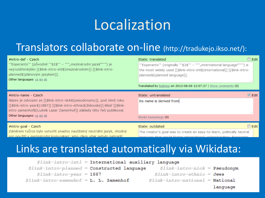# Localization

#### Translators collaborate on-line (http://tradukejo.ikso.net/):

| #intro-def - Czech<br>"Esperanto"' (původně "'\$2\$'" - "", mezinárodní jazyk"""') je<br>nejrozšířenějším [[\$link-intro-intl\$ mezinárodním]] [[\$link-intro-<br>planned\$ plánovým jazykem]].<br>Other languages: cs en sk                                                            | State: translated<br>"'Esperanto"' (originally "'\$2\$"' - """,international language"""') is<br>the most widely used [[\$link-intro-intl\$ international]] [[\$link-intro-<br>planned\$ planned language]].<br>Translated by blahma on 2013-08-09 12:07:27   Show comments (0) | $\Box$ Edit          |
|-----------------------------------------------------------------------------------------------------------------------------------------------------------------------------------------------------------------------------------------------------------------------------------------|---------------------------------------------------------------------------------------------------------------------------------------------------------------------------------------------------------------------------------------------------------------------------------|----------------------|
| #intro-name - Czech<br>Název je odvozen ze [[\$link-intro-nick\$ pseudonymu]], pod nímž roku<br>[[\$link-intro-year\$ 1887]] [[\$link-intro-ethnic\$ židovský]] lékař [[\$link-<br>intro-zamenhof\$ [Ludvík Lazar Zamenhof]] základy této řeči publikoval.<br>Other languages: cs en sk | State: untranslated<br>Its name is derived from<br>Montri komentojn (0)                                                                                                                                                                                                         | $\triangledown$ Edit |
| #intro-goal - Czech<br>Záměrem tvůrce bylo vytvořit snadno naučitelný neutrální jazyk, vhodný<br>pro použití v mezinárodní komunikaci: jeho cílem však nebylo nahradit                                                                                                                  | State: outdated<br>The creator's goal was to create an easy-to-learn, politically neutral<br>Innaugae that would fector international understanding: Ecoerante                                                                                                                  | $\Box$ Edit          |

#### Links are translated automatically via Wikidata:

| $$link-intro-int1 = International auxiliary language$    |                                              |
|----------------------------------------------------------|----------------------------------------------|
| $$link\text{-}intro\text{-}plane$ = Constructed language | $$link\text{-}intro\text{-}nick =$ Pseudonym |
| $$link\text{-}intro\text{-}year = 1887$                  | $$link\text{-}intro\text{-}ethnic = Jews$    |
| $$link-intro-zamenhof = L. L. Zamenhof$                  | $$link-intro-national = National$            |
|                                                          | $l$ anouage.                                 |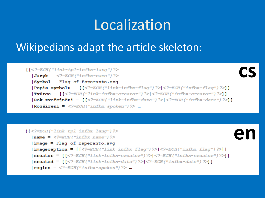## Localization

#### Wikipedians adapt the article skeleton:

 $\{\{\langle \rangle = ECH('link-tpl-infbx-lanq'')\} \rangle$ 

 $\textsf{Jazyk} = \texttt{f} = \texttt{f} = \texttt{f} = \texttt{f} = \texttt{f} = \texttt{f} = \texttt{f} = \texttt{f} = \texttt{f} = \texttt{f} = \texttt{f} = \texttt{f} = \texttt{f} = \texttt{f} = \texttt{f} = \texttt{f} = \texttt{f} = \texttt{f} = \texttt{f} = \texttt{f} = \texttt{f} = \texttt{f} = \texttt{f} = \texttt{f} = \texttt{f} = \texttt{f} = \texttt{f} = \texttt{f} = \texttt{f} = \texttt{f} = \$ 

Symbol = Flaq of Esperanto.svq

 $|Popis|Symbolu = \lceil { <sup>2</sup> = ECH("link-infbx-flaq") } \rceil { <sup>2</sup> = ECH("infbx-fLaq") } \rceil$  $|\text{Tw\textsc{line}}| = [|\langle ?\text{F}\text{ECH}(n\text{Flink-infbx-creator''})|^2 \rangle| \langle ?\text{FCH}(n\text{Fbox-creator''})|^2 \rangle]$  $|Rok zveřejnění = |$  $|$ <2=ECH("link-infbx-date") ?> $|$ <2=ECH("infbx-date") ?>]  $|Rozšiření = =ECH("infbx-spoken")</math ?> ...$ 

```
\{\{\langle \rangle = ECH('link-tp1-infbx-lanq'')\rangle\}enname = <?=ECH('infbx-name") ?>
   \text{image} = \text{Flag} of Esperanto.svq
   \left|\text{imagecaption} = \left[\frac{\text{S}}{\text{ECH}}\right] \text{link-infbx-flag''}\right] > \left|\frac{\text{S}}{\text{ECH}}\right| \text{link-infbx-flag''}\right)|{\rm creator} = [[\langle ?\equiv \text{ECH}("link-infbx-creactor"))? \rangle |\langle ?\equiv \text{ECH}("infbx-creactor"))? \rangle]|{\rm created} = [ {\langle} 2\text{=} \text{ECH}(T1 \text{ink} \text{--} \text{infbx}-\text{date''}) \text{>} \rangle ]\text{region} = \texttt{<}?=ECH("infbx-spoken")?> ...
```
**cs**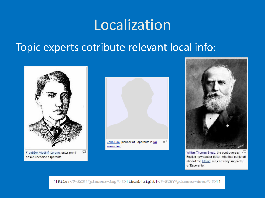### Localization

#### Topic experts cotribute relevant local info:







William Thomas Stead, the controversial 5 English newspaper editor who has perished aboard the Titanic, was an early supporter of Esperanto.

[[File:<?=ECH("pioneer-img")?>|thumb|right|<?=ECH("pioneer-desc")?>]]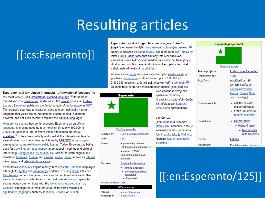# Resulting articles

#### [[:cs:Esperanto]]

Esperanto (původně Lingvo Internacia – "mezinárodní jazyk") je nejrozšířenějším mezinárodním plánovým jazykem.<sup>[1]</sup> Název je odvozen ze pseudonymu, pod nímž roku 1887 židovský lékař Ludvík Lazar Zamenhof základy této řeči publikoval. Záměrem tvůrce bylo vytvořit snadno naučitelný neutrální jazyk. vhodný pro použití v mezinárodní komunikaci: jeho cílem však nebylo nahradit ostatní národní řeči.

Ačkoliv žádná země nepřijala esperanto jako úřední jazyk, je používáno komunitou o odhadovaném počtu 100 000 až 2 000 000 mluvčích, z čehož asi tisícovku tvoří mluvčí rodilí.<sup>[2]</sup> Dosáhlo také některých mezinárodních uznání, jako jsou dvě

> vích osobností veřejného vužíváno pro účely h setkání a kulturních výměn. ní i překladové literatury, ernetového zpravodajství,

#### edevším ze

jeho skladba a tvarosloví prfémy jsou neměnné a lze je ozmanitých slov; esperanto ícími jazyky jako je čínština, ipomíná jazyky aglutinační turečtina.

| Esperanto (Esperanto) |                                                                                                                  |  |
|-----------------------|------------------------------------------------------------------------------------------------------------------|--|
|                       | Esperantská vlajka                                                                                               |  |
| Tvůrce projektu:      | Ludvík Lazar Zamenhof                                                                                            |  |
| Rok zveřejnění:       | 1887                                                                                                             |  |
| Rozšíření:            | rozptýleně ve 115<br>zemích, nejvíce ve<br><u>střední a východní</u><br>Evropě, Brazílii, Číně<br>a wchodní Asii |  |
| Počet mluvčích:       | ● asi 100 tisíc až 2<br>miliony uživatelů<br>z toho 200 až 2000<br>rodilých mluvčích                             |  |
| Klasifikace:          | · Umělé jazyky<br>• Plánové jazyky<br>• Mezinárodní<br>plánové jazyky                                            |  |
| Písmo:                | Latinka                                                                                                          |  |
| Zvláštnosti:          | Podstatná a přídavná jména,                                                                                      |  |
|                       |                                                                                                                  |  |

#### Esperanto (originally Lingvo Internacia - "international language") is the most widely used international planned language. $[2]$  Its name is derived from the pseudonym, under which the Jewish physician Ludwig Lazarus Zamenhof published the fundamentals of the language in 1887. The creator's goal was to create an easy-to-learn, politically neutral language that would foster international understanding; Esperanto, however, has not been meant to replace the national languages.

Although no country has so far accepted Esperanto as an official language, it is being used by a community of roughly 100,000 to 2,000,000 speakers, out of whom about a thousand are native speakers.<sup>[3]</sup> It has been publicly endorsed at the international level for several times, such as in two resolutions by UNESCO or by support expresed by some well-known public figures. Today, Esperanto is being used for travelling, correspondence, international meetings and cultural interchange, congresses, scientifical dicussions, for both original and translated literature, theatre and cinema, music, paper as well as internet news, radio and television broadcasts.

Esperanto's vocabulary origins mostly from Western European languages, although its syntax and morphology evidence a strong Slavic influence. Morphemes do not change form and can be combined with each other almost limitlessly in order to form the most diverse words; Esperanto shares many common traits with the isolating languages, such as Chinese, although the internal structure of its words reminds of aglutinative languages such as Japanese, Swahili or Turkish.



organizations

language in

[[:en:Esperanto/125]]

Zvláštno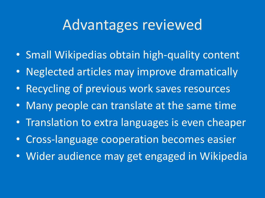## Advantages reviewed

- Small Wikipedias obtain high-quality content
- Neglected articles may improve dramatically
- Recycling of previous work saves resources
- Many people can translate at the same time
- Translation to extra languages is even cheaper
- Cross-language cooperation becomes easier
- Wider audience may get engaged in Wikipedia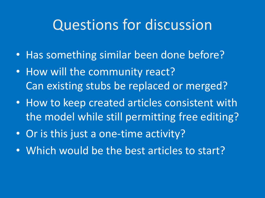## Questions for discussion

- Has something similar been done before?
- How will the community react? Can existing stubs be replaced or merged?
- How to keep created articles consistent with the model while still permitting free editing?
- Or is this just a one-time activity?
- Which would be the best articles to start?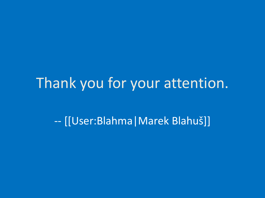### Thank you for your attention.

-- [[User:Blahma|Marek Blahuš]]